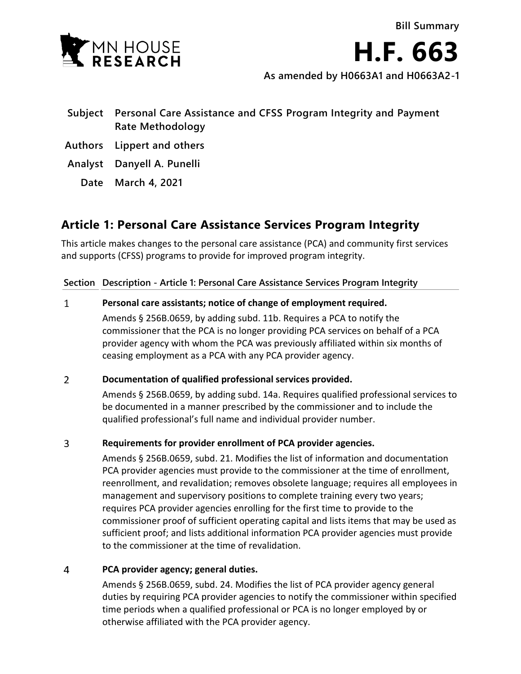

**H.F. 663**

**As amended by H0663A1 and H0663A2-1**

- **Subject Personal Care Assistance and CFSS Program Integrity and Payment Rate Methodology**
- **Authors Lippert and others**
- **Analyst Danyell A. Punelli**
	- **Date March 4, 2021**

# **Article 1: Personal Care Assistance Services Program Integrity**

This article makes changes to the personal care assistance (PCA) and community first services and supports (CFSS) programs to provide for improved program integrity.

### **Section Description - Article 1: Personal Care Assistance Services Program Integrity**

#### $\mathbf{1}$ **Personal care assistants; notice of change of employment required.**

Amends § 256B.0659, by adding subd. 11b. Requires a PCA to notify the commissioner that the PCA is no longer providing PCA services on behalf of a PCA provider agency with whom the PCA was previously affiliated within six months of ceasing employment as a PCA with any PCA provider agency.

#### $\overline{2}$ **Documentation of qualified professional services provided.**

Amends § 256B.0659, by adding subd. 14a. Requires qualified professional services to be documented in a manner prescribed by the commissioner and to include the qualified professional's full name and individual provider number.

#### $\overline{3}$ **Requirements for provider enrollment of PCA provider agencies.**

Amends § 256B.0659, subd. 21. Modifies the list of information and documentation PCA provider agencies must provide to the commissioner at the time of enrollment, reenrollment, and revalidation; removes obsolete language; requires all employees in management and supervisory positions to complete training every two years; requires PCA provider agencies enrolling for the first time to provide to the commissioner proof of sufficient operating capital and lists items that may be used as sufficient proof; and lists additional information PCA provider agencies must provide to the commissioner at the time of revalidation.

#### $\overline{4}$ **PCA provider agency; general duties.**

Amends § 256B.0659, subd. 24. Modifies the list of PCA provider agency general duties by requiring PCA provider agencies to notify the commissioner within specified time periods when a qualified professional or PCA is no longer employed by or otherwise affiliated with the PCA provider agency.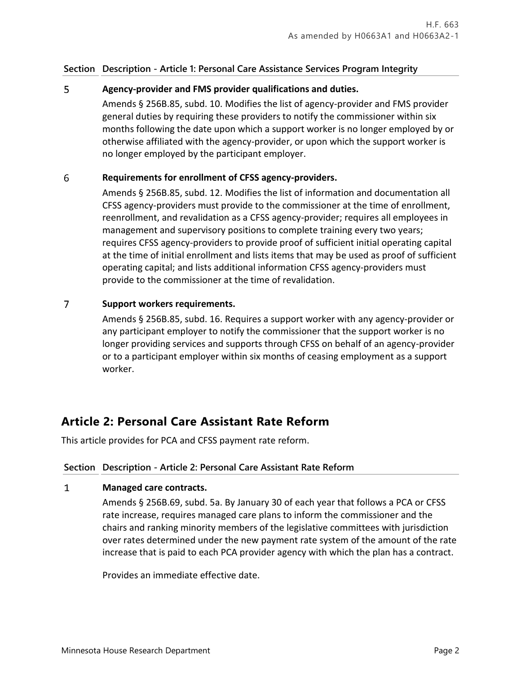### **Section Description - Article 1: Personal Care Assistance Services Program Integrity**

#### 5 **Agency-provider and FMS provider qualifications and duties.**

Amends § 256B.85, subd. 10. Modifies the list of agency-provider and FMS provider general duties by requiring these providers to notify the commissioner within six months following the date upon which a support worker is no longer employed by or otherwise affiliated with the agency-provider, or upon which the support worker is no longer employed by the participant employer.

#### 6 **Requirements for enrollment of CFSS agency-providers.**

Amends § 256B.85, subd. 12. Modifies the list of information and documentation all CFSS agency-providers must provide to the commissioner at the time of enrollment, reenrollment, and revalidation as a CFSS agency-provider; requires all employees in management and supervisory positions to complete training every two years; requires CFSS agency-providers to provide proof of sufficient initial operating capital at the time of initial enrollment and lists items that may be used as proof of sufficient operating capital; and lists additional information CFSS agency-providers must provide to the commissioner at the time of revalidation.

#### $\overline{7}$ **Support workers requirements.**

Amends § 256B.85, subd. 16. Requires a support worker with any agency-provider or any participant employer to notify the commissioner that the support worker is no longer providing services and supports through CFSS on behalf of an agency-provider or to a participant employer within six months of ceasing employment as a support worker.

## **Article 2: Personal Care Assistant Rate Reform**

This article provides for PCA and CFSS payment rate reform.

## **Section Description - Article 2: Personal Care Assistant Rate Reform**

#### $\mathbf{1}$ **Managed care contracts.**

Amends § 256B.69, subd. 5a. By January 30 of each year that follows a PCA or CFSS rate increase, requires managed care plans to inform the commissioner and the chairs and ranking minority members of the legislative committees with jurisdiction over rates determined under the new payment rate system of the amount of the rate increase that is paid to each PCA provider agency with which the plan has a contract.

Provides an immediate effective date.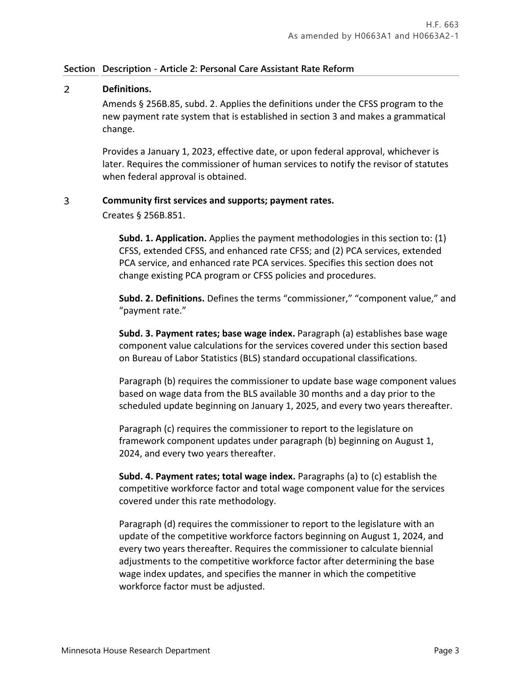#### $\overline{2}$ **Definitions.**

Amends § 256B.85, subd. 2. Applies the definitions under the CFSS program to the new payment rate system that is established in section 3 and makes a grammatical change.

Provides a January 1, 2023, effective date, or upon federal approval, whichever is later. Requires the commissioner of human services to notify the revisor of statutes when federal approval is obtained.

#### 3 **Community first services and supports; payment rates.**

Creates § 256B.851.

**Subd. 1. Application.** Applies the payment methodologies in this section to: (1) CFSS, extended CFSS, and enhanced rate CFSS; and (2) PCA services, extended PCA service, and enhanced rate PCA services. Specifies this section does not change existing PCA program or CFSS policies and procedures.

**Subd. 2. Definitions.** Defines the terms "commissioner," "component value," and "payment rate."

**Subd. 3. Payment rates; base wage index.** Paragraph (a) establishes base wage component value calculations for the services covered under this section based on Bureau of Labor Statistics (BLS) standard occupational classifications.

Paragraph (b) requires the commissioner to update base wage component values based on wage data from the BLS available 30 months and a day prior to the scheduled update beginning on January 1, 2025, and every two years thereafter.

Paragraph (c) requires the commissioner to report to the legislature on framework component updates under paragraph (b) beginning on August 1, 2024, and every two years thereafter.

**Subd. 4. Payment rates; total wage index.** Paragraphs (a) to (c) establish the competitive workforce factor and total wage component value for the services covered under this rate methodology.

Paragraph (d) requires the commissioner to report to the legislature with an update of the competitive workforce factors beginning on August 1, 2024, and every two years thereafter. Requires the commissioner to calculate biennial adjustments to the competitive workforce factor after determining the base wage index updates, and specifies the manner in which the competitive workforce factor must be adjusted.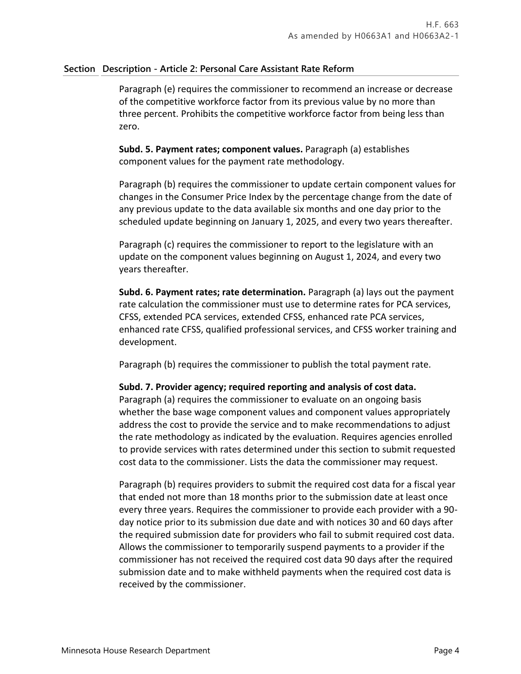Paragraph (e) requires the commissioner to recommend an increase or decrease of the competitive workforce factor from its previous value by no more than three percent. Prohibits the competitive workforce factor from being less than zero.

**Subd. 5. Payment rates; component values.** Paragraph (a) establishes component values for the payment rate methodology.

Paragraph (b) requires the commissioner to update certain component values for changes in the Consumer Price Index by the percentage change from the date of any previous update to the data available six months and one day prior to the scheduled update beginning on January 1, 2025, and every two years thereafter.

Paragraph (c) requires the commissioner to report to the legislature with an update on the component values beginning on August 1, 2024, and every two years thereafter.

**Subd. 6. Payment rates; rate determination.** Paragraph (a) lays out the payment rate calculation the commissioner must use to determine rates for PCA services, CFSS, extended PCA services, extended CFSS, enhanced rate PCA services, enhanced rate CFSS, qualified professional services, and CFSS worker training and development.

Paragraph (b) requires the commissioner to publish the total payment rate.

### **Subd. 7. Provider agency; required reporting and analysis of cost data.**

Paragraph (a) requires the commissioner to evaluate on an ongoing basis whether the base wage component values and component values appropriately address the cost to provide the service and to make recommendations to adjust the rate methodology as indicated by the evaluation. Requires agencies enrolled to provide services with rates determined under this section to submit requested cost data to the commissioner. Lists the data the commissioner may request.

Paragraph (b) requires providers to submit the required cost data for a fiscal year that ended not more than 18 months prior to the submission date at least once every three years. Requires the commissioner to provide each provider with a 90 day notice prior to its submission due date and with notices 30 and 60 days after the required submission date for providers who fail to submit required cost data. Allows the commissioner to temporarily suspend payments to a provider if the commissioner has not received the required cost data 90 days after the required submission date and to make withheld payments when the required cost data is received by the commissioner.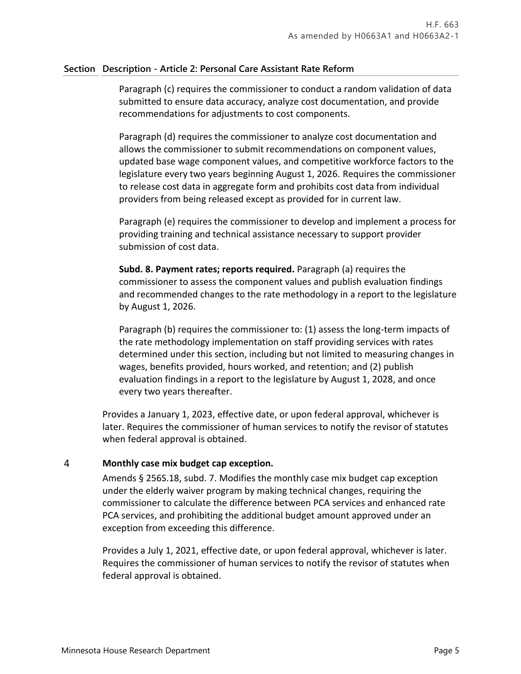Paragraph (c) requires the commissioner to conduct a random validation of data submitted to ensure data accuracy, analyze cost documentation, and provide recommendations for adjustments to cost components.

Paragraph (d) requires the commissioner to analyze cost documentation and allows the commissioner to submit recommendations on component values, updated base wage component values, and competitive workforce factors to the legislature every two years beginning August 1, 2026. Requires the commissioner to release cost data in aggregate form and prohibits cost data from individual providers from being released except as provided for in current law.

Paragraph (e) requires the commissioner to develop and implement a process for providing training and technical assistance necessary to support provider submission of cost data.

**Subd. 8. Payment rates; reports required.** Paragraph (a) requires the commissioner to assess the component values and publish evaluation findings and recommended changes to the rate methodology in a report to the legislature by August 1, 2026.

Paragraph (b) requires the commissioner to: (1) assess the long-term impacts of the rate methodology implementation on staff providing services with rates determined under this section, including but not limited to measuring changes in wages, benefits provided, hours worked, and retention; and (2) publish evaluation findings in a report to the legislature by August 1, 2028, and once every two years thereafter.

Provides a January 1, 2023, effective date, or upon federal approval, whichever is later. Requires the commissioner of human services to notify the revisor of statutes when federal approval is obtained.

#### 4 **Monthly case mix budget cap exception.**

Amends § 256S.18, subd. 7. Modifies the monthly case mix budget cap exception under the elderly waiver program by making technical changes, requiring the commissioner to calculate the difference between PCA services and enhanced rate PCA services, and prohibiting the additional budget amount approved under an exception from exceeding this difference.

Provides a July 1, 2021, effective date, or upon federal approval, whichever is later. Requires the commissioner of human services to notify the revisor of statutes when federal approval is obtained.